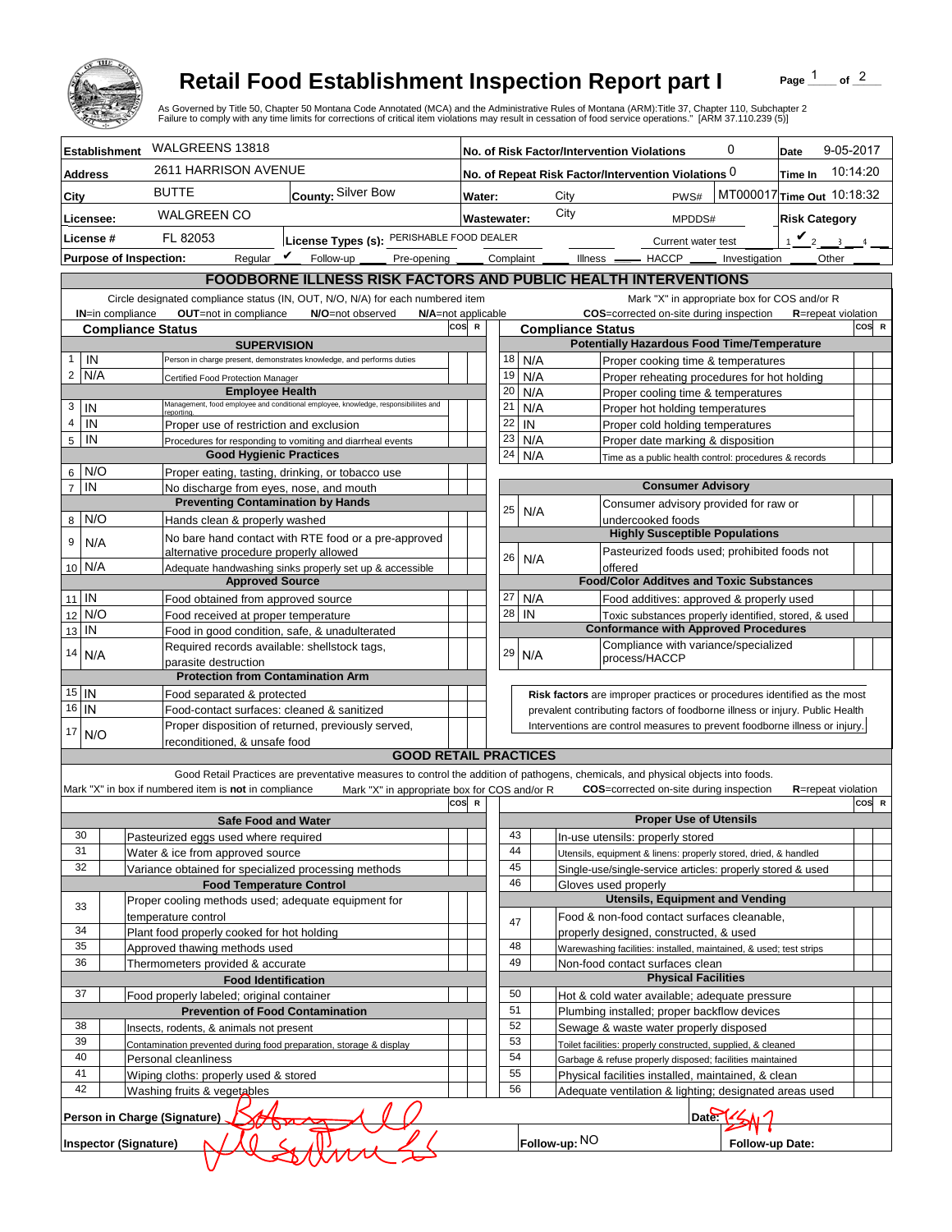

## **Retail Food Establishment Inspection Report part I**

Page  $\frac{1}{1}$  of  $\frac{2}{1}$ 

|                                                          |                                                                                                  |                                                                      |                                           | <b>Retail Food Establishment Inspection Report part I</b><br>As Governed by Title 50, Chapter 50 Montana Code Annotated (MCA) and the Administrative Rules of Montana (ARM):Title 37, Chapter 110, Subchapter 2<br>Failure to comply with any time limits for corrections of critical item violations may result in cessation of food service operations." [ARM 37.110.239 (5)] |                                                                                                                                                            |                                    |           |    |                          |                                                                                                              |                               |                 | Page                                         | of $2$    |  |
|----------------------------------------------------------|--------------------------------------------------------------------------------------------------|----------------------------------------------------------------------|-------------------------------------------|---------------------------------------------------------------------------------------------------------------------------------------------------------------------------------------------------------------------------------------------------------------------------------------------------------------------------------------------------------------------------------|------------------------------------------------------------------------------------------------------------------------------------------------------------|------------------------------------|-----------|----|--------------------------|--------------------------------------------------------------------------------------------------------------|-------------------------------|-----------------|----------------------------------------------|-----------|--|
| <b>Establishment</b>                                     |                                                                                                  | WALGREENS 13818                                                      |                                           |                                                                                                                                                                                                                                                                                                                                                                                 |                                                                                                                                                            |                                    |           |    |                          | No. of Risk Factor/Intervention Violations                                                                   | 0                             |                 | Date                                         | 9-05-2017 |  |
| <b>Address</b>                                           |                                                                                                  | 2611 HARRISON AVENUE                                                 |                                           |                                                                                                                                                                                                                                                                                                                                                                                 |                                                                                                                                                            |                                    |           |    |                          | No. of Repeat Risk Factor/Intervention Violations 0                                                          |                               |                 | Time In                                      | 10:14:20  |  |
| City                                                     |                                                                                                  | <b>BUTTE</b>                                                         |                                           | County: Silver Bow                                                                                                                                                                                                                                                                                                                                                              |                                                                                                                                                            | Water:                             |           |    | City                     |                                                                                                              | PWS#                          |                 | MT000017 Time Out 10:18:32                   |           |  |
|                                                          |                                                                                                  | <b>WALGREEN CO</b>                                                   |                                           |                                                                                                                                                                                                                                                                                                                                                                                 |                                                                                                                                                            |                                    |           |    | City                     |                                                                                                              |                               |                 |                                              |           |  |
| Licensee:                                                |                                                                                                  |                                                                      |                                           |                                                                                                                                                                                                                                                                                                                                                                                 |                                                                                                                                                            | <b>Wastewater:</b>                 |           |    |                          |                                                                                                              | MPDDS#                        |                 | <b>Risk Category</b>                         |           |  |
| License #                                                |                                                                                                  | FL 82053                                                             |                                           | License Types (s): PERISHABLE FOOD DEALER                                                                                                                                                                                                                                                                                                                                       |                                                                                                                                                            |                                    |           |    |                          |                                                                                                              | Current water test            |                 | $\mathbf{v}_2$<br>$\sim$                     |           |  |
| <b>Purpose of Inspection:</b>                            |                                                                                                  |                                                                      | Regular $\mathbf{\underline{\mathit{v}}}$ | Follow-up _<br>Pre-opening _                                                                                                                                                                                                                                                                                                                                                    |                                                                                                                                                            |                                    | Complaint |    | Illness —                | $-$ HACCP $\_\_$                                                                                             |                               | Investigation   | Other                                        |           |  |
|                                                          |                                                                                                  |                                                                      |                                           | <b>FOODBORNE ILLNESS RISK FACTORS AND PUBLIC HEALTH INTERVENTIONS</b>                                                                                                                                                                                                                                                                                                           |                                                                                                                                                            |                                    |           |    |                          |                                                                                                              |                               |                 |                                              |           |  |
|                                                          |                                                                                                  |                                                                      |                                           | Circle designated compliance status (IN, OUT, N/O, N/A) for each numbered item                                                                                                                                                                                                                                                                                                  |                                                                                                                                                            |                                    |           |    |                          |                                                                                                              |                               |                 | Mark "X" in appropriate box for COS and/or R |           |  |
| <b>IN=in compliance</b>                                  |                                                                                                  | OUT=not in compliance                                                |                                           | N/O=not observed                                                                                                                                                                                                                                                                                                                                                                | cos                                                                                                                                                        | N/A=not applicable<br>$\mathbb{R}$ |           |    | <b>Compliance Status</b> | COS=corrected on-site during inspection                                                                      |                               |                 | <b>R</b> =repeat violation                   | COS R     |  |
|                                                          |                                                                                                  | <b>Compliance Status</b>                                             | <b>SUPERVISION</b>                        |                                                                                                                                                                                                                                                                                                                                                                                 |                                                                                                                                                            |                                    |           |    |                          | <b>Potentially Hazardous Food Time/Temperature</b>                                                           |                               |                 |                                              |           |  |
| IN<br>$\mathbf{1}$                                       |                                                                                                  |                                                                      |                                           | Person in charge present, demonstrates knowledge, and performs duties                                                                                                                                                                                                                                                                                                           |                                                                                                                                                            |                                    | 18        |    | N/A                      | Proper cooking time & temperatures                                                                           |                               |                 |                                              |           |  |
| $\overline{2}$<br>N/A                                    |                                                                                                  | Certified Food Protection Manager                                    |                                           |                                                                                                                                                                                                                                                                                                                                                                                 |                                                                                                                                                            |                                    | 19        |    | N/A                      | Proper reheating procedures for hot holding                                                                  |                               |                 |                                              |           |  |
|                                                          |                                                                                                  |                                                                      | <b>Employee Health</b>                    |                                                                                                                                                                                                                                                                                                                                                                                 |                                                                                                                                                            |                                    | 20        |    | N/A                      | Proper cooling time & temperatures                                                                           |                               |                 |                                              |           |  |
| 3<br>IN                                                  |                                                                                                  | reportina.                                                           |                                           | Management, food employee and conditional employee, knowledge, responsibiliites and                                                                                                                                                                                                                                                                                             |                                                                                                                                                            |                                    | 21        |    | N/A                      | Proper hot holding temperatures                                                                              |                               |                 |                                              |           |  |
| $\overline{4}$<br>IN                                     |                                                                                                  |                                                                      |                                           | Proper use of restriction and exclusion                                                                                                                                                                                                                                                                                                                                         |                                                                                                                                                            |                                    | 22        | IN |                          | Proper cold holding temperatures                                                                             |                               |                 |                                              |           |  |
| $\sqrt{5}$<br>IN                                         |                                                                                                  |                                                                      |                                           | Procedures for responding to vomiting and diarrheal events                                                                                                                                                                                                                                                                                                                      |                                                                                                                                                            |                                    | 23        |    | N/A                      | Proper date marking & disposition                                                                            |                               |                 |                                              |           |  |
|                                                          |                                                                                                  |                                                                      | <b>Good Hygienic Practices</b>            |                                                                                                                                                                                                                                                                                                                                                                                 |                                                                                                                                                            |                                    | 24        |    | N/A                      | Time as a public health control: procedures & records                                                        |                               |                 |                                              |           |  |
| N/O<br>6 <sup>1</sup><br>$\overline{7}$<br>IN            |                                                                                                  |                                                                      |                                           | Proper eating, tasting, drinking, or tobacco use                                                                                                                                                                                                                                                                                                                                |                                                                                                                                                            |                                    |           |    |                          |                                                                                                              | <b>Consumer Advisory</b>      |                 |                                              |           |  |
|                                                          |                                                                                                  |                                                                      |                                           | No discharge from eyes, nose, and mouth<br><b>Preventing Contamination by Hands</b>                                                                                                                                                                                                                                                                                             |                                                                                                                                                            |                                    |           |    |                          | Consumer advisory provided for raw or                                                                        |                               |                 |                                              |           |  |
| N/O<br>8                                                 |                                                                                                  | Hands clean & properly washed                                        |                                           |                                                                                                                                                                                                                                                                                                                                                                                 |                                                                                                                                                            |                                    | 25        |    | N/A                      | undercooked foods                                                                                            |                               |                 |                                              |           |  |
| 9<br>N/A                                                 |                                                                                                  |                                                                      |                                           | No bare hand contact with RTE food or a pre-approved                                                                                                                                                                                                                                                                                                                            |                                                                                                                                                            |                                    |           |    |                          | <b>Highly Susceptible Populations</b>                                                                        |                               |                 |                                              |           |  |
| 10 N/A                                                   |                                                                                                  |                                                                      |                                           | alternative procedure properly allowed<br>Adequate handwashing sinks properly set up & accessible                                                                                                                                                                                                                                                                               |                                                                                                                                                            |                                    | 26        |    | N/A                      | Pasteurized foods used; prohibited foods not<br>offered                                                      |                               |                 |                                              |           |  |
|                                                          |                                                                                                  |                                                                      | <b>Approved Source</b>                    |                                                                                                                                                                                                                                                                                                                                                                                 |                                                                                                                                                            |                                    |           |    |                          | <b>Food/Color Additves and Toxic Substances</b>                                                              |                               |                 |                                              |           |  |
| $11$ IN                                                  |                                                                                                  | Food obtained from approved source                                   |                                           |                                                                                                                                                                                                                                                                                                                                                                                 |                                                                                                                                                            |                                    | 27        |    | N/A                      | Food additives: approved & properly used                                                                     |                               |                 |                                              |           |  |
| N/O<br>12                                                |                                                                                                  | Food received at proper temperature                                  |                                           |                                                                                                                                                                                                                                                                                                                                                                                 |                                                                                                                                                            |                                    | 28        | IN |                          | Toxic substances properly identified, stored, & used                                                         |                               |                 |                                              |           |  |
| IN<br>13                                                 |                                                                                                  |                                                                      |                                           | Food in good condition, safe, & unadulterated                                                                                                                                                                                                                                                                                                                                   |                                                                                                                                                            |                                    |           |    |                          | <b>Conformance with Approved Procedures</b>                                                                  |                               |                 |                                              |           |  |
| 14<br>N/A                                                |                                                                                                  |                                                                      |                                           | Required records available: shellstock tags,                                                                                                                                                                                                                                                                                                                                    |                                                                                                                                                            |                                    | 29        |    | N/A                      | Compliance with variance/specialized                                                                         |                               |                 |                                              |           |  |
|                                                          |                                                                                                  | parasite destruction                                                 |                                           |                                                                                                                                                                                                                                                                                                                                                                                 |                                                                                                                                                            |                                    |           |    |                          | process/HACCP                                                                                                |                               |                 |                                              |           |  |
|                                                          |                                                                                                  |                                                                      |                                           | <b>Protection from Contamination Arm</b>                                                                                                                                                                                                                                                                                                                                        |                                                                                                                                                            |                                    |           |    |                          |                                                                                                              |                               |                 |                                              |           |  |
| $15$ IN<br>$16$   IN                                     |                                                                                                  | Food separated & protected                                           |                                           |                                                                                                                                                                                                                                                                                                                                                                                 |                                                                                                                                                            |                                    |           |    |                          | Risk factors are improper practices or procedures identified as the most                                     |                               |                 |                                              |           |  |
|                                                          | Food-contact surfaces: cleaned & sanitized<br>Proper disposition of returned, previously served, |                                                                      |                                           |                                                                                                                                                                                                                                                                                                                                                                                 | prevalent contributing factors of foodborne illness or injury. Public Health<br>Interventions are control measures to prevent foodborne illness or injury. |                                    |           |    |                          |                                                                                                              |                               |                 |                                              |           |  |
| 17<br>N/O                                                |                                                                                                  | reconditioned. & unsafe food                                         |                                           |                                                                                                                                                                                                                                                                                                                                                                                 |                                                                                                                                                            |                                    |           |    |                          |                                                                                                              |                               |                 |                                              |           |  |
|                                                          |                                                                                                  |                                                                      |                                           | <b>GOOD RETAIL PRACTICES</b>                                                                                                                                                                                                                                                                                                                                                    |                                                                                                                                                            |                                    |           |    |                          |                                                                                                              |                               |                 |                                              |           |  |
|                                                          |                                                                                                  |                                                                      |                                           | Good Retail Practices are preventative measures to control the addition of pathogens, chemicals, and physical objects into foods.                                                                                                                                                                                                                                               |                                                                                                                                                            |                                    |           |    |                          |                                                                                                              |                               |                 |                                              |           |  |
|                                                          |                                                                                                  | Mark "X" in box if numbered item is not in compliance                |                                           | Mark "X" in appropriate box for COS and/or R                                                                                                                                                                                                                                                                                                                                    |                                                                                                                                                            |                                    |           |    |                          | <b>COS</b> =corrected on-site during inspection                                                              |                               |                 | <b>R</b> =repeat violation                   |           |  |
|                                                          |                                                                                                  |                                                                      |                                           |                                                                                                                                                                                                                                                                                                                                                                                 | cos                                                                                                                                                        | <b>R</b>                           |           |    |                          |                                                                                                              |                               |                 |                                              | COS R     |  |
|                                                          |                                                                                                  |                                                                      | <b>Safe Food and Water</b>                |                                                                                                                                                                                                                                                                                                                                                                                 |                                                                                                                                                            |                                    |           |    |                          |                                                                                                              | <b>Proper Use of Utensils</b> |                 |                                              |           |  |
| 30                                                       |                                                                                                  | Pasteurized eggs used where required                                 |                                           |                                                                                                                                                                                                                                                                                                                                                                                 |                                                                                                                                                            |                                    | 43        |    |                          | In-use utensils: properly stored                                                                             |                               |                 |                                              |           |  |
| 31<br>32                                                 |                                                                                                  | Water & ice from approved source                                     |                                           |                                                                                                                                                                                                                                                                                                                                                                                 |                                                                                                                                                            |                                    | 44<br>45  |    |                          | Utensils, equipment & linens: properly stored, dried, & handled                                              |                               |                 |                                              |           |  |
|                                                          |                                                                                                  |                                                                      |                                           | Variance obtained for specialized processing methods<br><b>Food Temperature Control</b>                                                                                                                                                                                                                                                                                         |                                                                                                                                                            |                                    | 46        |    |                          | Single-use/single-service articles: properly stored & used<br>Gloves used properly                           |                               |                 |                                              |           |  |
|                                                          |                                                                                                  |                                                                      |                                           | Proper cooling methods used; adequate equipment for                                                                                                                                                                                                                                                                                                                             |                                                                                                                                                            |                                    |           |    |                          | <b>Utensils, Equipment and Vending</b>                                                                       |                               |                 |                                              |           |  |
| 33                                                       |                                                                                                  | temperature control                                                  |                                           |                                                                                                                                                                                                                                                                                                                                                                                 |                                                                                                                                                            |                                    |           |    |                          | Food & non-food contact surfaces cleanable,                                                                  |                               |                 |                                              |           |  |
| 34                                                       |                                                                                                  | Plant food properly cooked for hot holding                           |                                           |                                                                                                                                                                                                                                                                                                                                                                                 |                                                                                                                                                            |                                    | 47        |    |                          | properly designed, constructed, & used                                                                       |                               |                 |                                              |           |  |
| 35                                                       |                                                                                                  | Approved thawing methods used                                        |                                           |                                                                                                                                                                                                                                                                                                                                                                                 |                                                                                                                                                            |                                    | 48        |    |                          | Warewashing facilities: installed, maintained, & used; test strips                                           |                               |                 |                                              |           |  |
| 36                                                       |                                                                                                  | Thermometers provided & accurate                                     |                                           |                                                                                                                                                                                                                                                                                                                                                                                 |                                                                                                                                                            |                                    | 49        |    |                          | Non-food contact surfaces clean                                                                              |                               |                 |                                              |           |  |
| <b>Physical Facilities</b><br><b>Food Identification</b> |                                                                                                  |                                                                      |                                           |                                                                                                                                                                                                                                                                                                                                                                                 |                                                                                                                                                            |                                    |           |    |                          |                                                                                                              |                               |                 |                                              |           |  |
| 37                                                       |                                                                                                  | Food properly labeled; original container                            |                                           |                                                                                                                                                                                                                                                                                                                                                                                 |                                                                                                                                                            |                                    | 50        |    |                          | Hot & cold water available; adequate pressure                                                                |                               |                 |                                              |           |  |
|                                                          |                                                                                                  |                                                                      |                                           | <b>Prevention of Food Contamination</b>                                                                                                                                                                                                                                                                                                                                         |                                                                                                                                                            |                                    | 51        |    |                          | Plumbing installed; proper backflow devices                                                                  |                               |                 |                                              |           |  |
| 38                                                       |                                                                                                  | Insects, rodents, & animals not present                              |                                           |                                                                                                                                                                                                                                                                                                                                                                                 |                                                                                                                                                            |                                    | 52        |    |                          | Sewage & waste water properly disposed                                                                       |                               |                 |                                              |           |  |
| 39<br>40                                                 |                                                                                                  |                                                                      |                                           | Contamination prevented during food preparation, storage & display                                                                                                                                                                                                                                                                                                              |                                                                                                                                                            |                                    | 53<br>54  |    |                          | Toilet facilities: properly constructed, supplied, & cleaned                                                 |                               |                 |                                              |           |  |
| 41                                                       |                                                                                                  | Personal cleanliness                                                 |                                           |                                                                                                                                                                                                                                                                                                                                                                                 |                                                                                                                                                            |                                    | 55        |    |                          | Garbage & refuse properly disposed; facilities maintained                                                    |                               |                 |                                              |           |  |
| 42                                                       |                                                                                                  | Wiping cloths: properly used & stored<br>Washing fruits & vegetables |                                           |                                                                                                                                                                                                                                                                                                                                                                                 |                                                                                                                                                            |                                    | 56        |    |                          | Physical facilities installed, maintained, & clean<br>Adequate ventilation & lighting; designated areas used |                               |                 |                                              |           |  |
|                                                          |                                                                                                  |                                                                      |                                           |                                                                                                                                                                                                                                                                                                                                                                                 |                                                                                                                                                            |                                    |           |    |                          |                                                                                                              |                               |                 |                                              |           |  |
|                                                          |                                                                                                  | Person in Charge (Signature)                                         |                                           |                                                                                                                                                                                                                                                                                                                                                                                 |                                                                                                                                                            |                                    |           |    |                          |                                                                                                              | Date <sup>-</sup>             |                 |                                              |           |  |
| <b>Inspector (Signature)</b>                             |                                                                                                  |                                                                      |                                           |                                                                                                                                                                                                                                                                                                                                                                                 |                                                                                                                                                            |                                    |           |    | Follow-up: NO            |                                                                                                              |                               | Follow-up Date: |                                              |           |  |